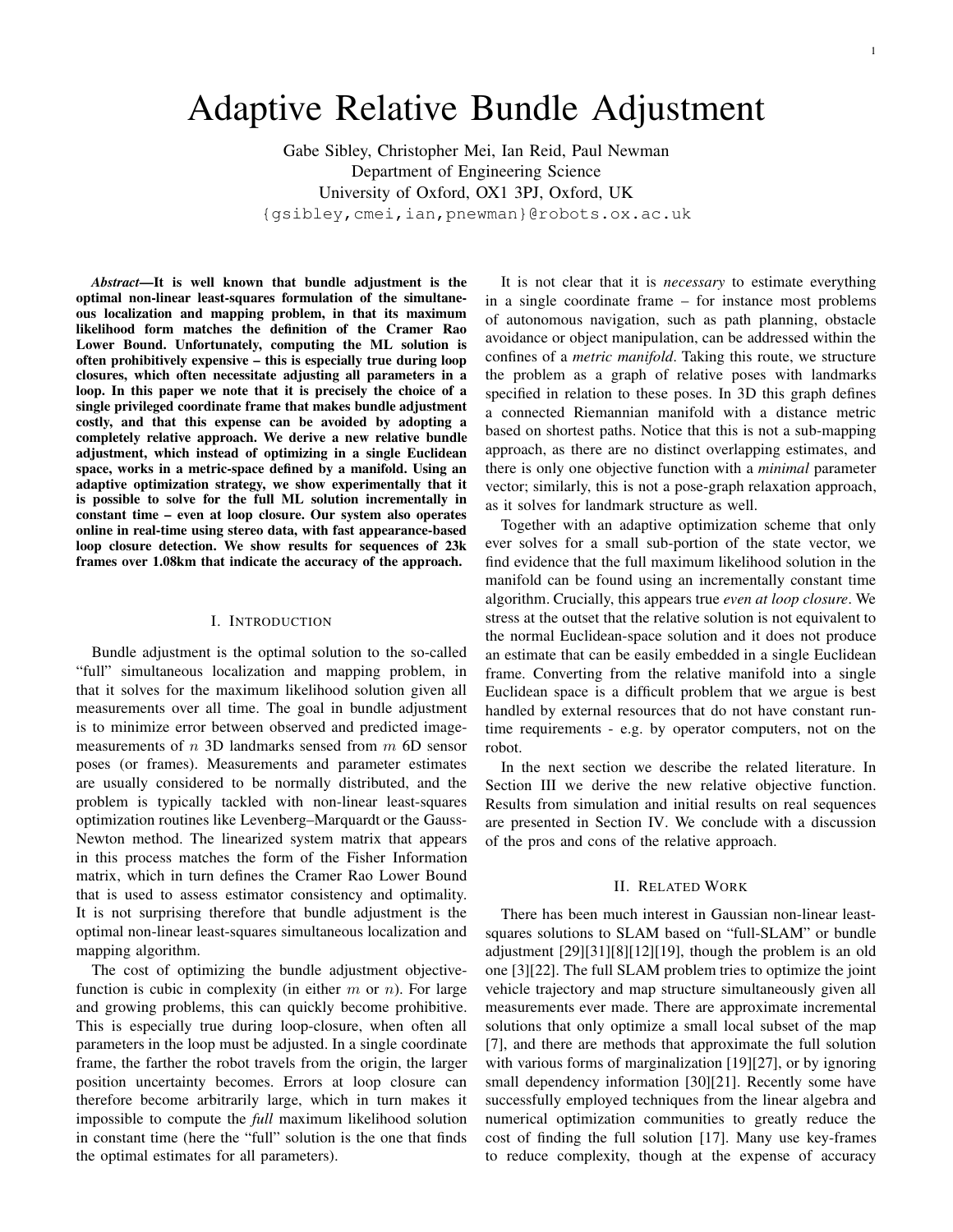# Adaptive Relative Bundle Adjustment

Gabe Sibley, Christopher Mei, Ian Reid, Paul Newman Department of Engineering Science University of Oxford, OX1 3PJ, Oxford, UK {gsibley,cmei,ian,pnewman}@robots.ox.ac.uk

*Abstract***—It is well known that bundle adjustment is the optimal non-linear least-squares formulation of the simultaneous localization and mapping problem, in that its maximum likelihood form matches the definition of the Cramer Rao Lower Bound. Unfortunately, computing the ML solution is often prohibitively expensive – this is especially true during loop closures, which often necessitate adjusting all parameters in a loop. In this paper we note that it is precisely the choice of a single privileged coordinate frame that makes bundle adjustment costly, and that this expense can be avoided by adopting a completely relative approach. We derive a new relative bundle adjustment, which instead of optimizing in a single Euclidean space, works in a metric-space defined by a manifold. Using an adaptive optimization strategy, we show experimentally that it is possible to solve for the full ML solution incrementally in constant time – even at loop closure. Our system also operates online in real-time using stereo data, with fast appearance-based loop closure detection. We show results for sequences of 23k frames over 1.08km that indicate the accuracy of the approach.**

# I. INTRODUCTION

Bundle adjustment is the optimal solution to the so-called "full" simultaneous localization and mapping problem, in that it solves for the maximum likelihood solution given all measurements over all time. The goal in bundle adjustment is to minimize error between observed and predicted imagemeasurements of  $n$  3D landmarks sensed from  $m$  6D sensor poses (or frames). Measurements and parameter estimates are usually considered to be normally distributed, and the problem is typically tackled with non-linear least-squares optimization routines like Levenberg–Marquardt or the Gauss-Newton method. The linearized system matrix that appears in this process matches the form of the Fisher Information matrix, which in turn defines the Cramer Rao Lower Bound that is used to assess estimator consistency and optimality. It is not surprising therefore that bundle adjustment is the optimal non-linear least-squares simultaneous localization and mapping algorithm.

The cost of optimizing the bundle adjustment objectivefunction is cubic in complexity (in either  $m$  or  $n$ ). For large and growing problems, this can quickly become prohibitive. This is especially true during loop-closure, when often all parameters in the loop must be adjusted. In a single coordinate frame, the farther the robot travels from the origin, the larger position uncertainty becomes. Errors at loop closure can therefore become arbitrarily large, which in turn makes it impossible to compute the *full* maximum likelihood solution in constant time (here the "full" solution is the one that finds the optimal estimates for all parameters).

It is not clear that it is *necessary* to estimate everything in a single coordinate frame – for instance most problems of autonomous navigation, such as path planning, obstacle avoidance or object manipulation, can be addressed within the confines of a *metric manifold*. Taking this route, we structure the problem as a graph of relative poses with landmarks specified in relation to these poses. In 3D this graph defines a connected Riemannian manifold with a distance metric based on shortest paths. Notice that this is not a sub-mapping approach, as there are no distinct overlapping estimates, and there is only one objective function with a *minimal* parameter vector; similarly, this is not a pose-graph relaxation approach, as it solves for landmark structure as well.

Together with an adaptive optimization scheme that only ever solves for a small sub-portion of the state vector, we find evidence that the full maximum likelihood solution in the manifold can be found using an incrementally constant time algorithm. Crucially, this appears true *even at loop closure*. We stress at the outset that the relative solution is not equivalent to the normal Euclidean-space solution and it does not produce an estimate that can be easily embedded in a single Euclidean frame. Converting from the relative manifold into a single Euclidean space is a difficult problem that we argue is best handled by external resources that do not have constant runtime requirements - e.g. by operator computers, not on the robot.

In the next section we describe the related literature. In Section III we derive the new relative objective function. Results from simulation and initial results on real sequences are presented in Section IV. We conclude with a discussion of the pros and cons of the relative approach.

#### II. RELATED WORK

There has been much interest in Gaussian non-linear leastsquares solutions to SLAM based on "full-SLAM" or bundle adjustment [29][31][8][12][19], though the problem is an old one [3][22]. The full SLAM problem tries to optimize the joint vehicle trajectory and map structure simultaneously given all measurements ever made. There are approximate incremental solutions that only optimize a small local subset of the map [7], and there are methods that approximate the full solution with various forms of marginalization [19][27], or by ignoring small dependency information [30][21]. Recently some have successfully employed techniques from the linear algebra and numerical optimization communities to greatly reduce the cost of finding the full solution [17]. Many use key-frames to reduce complexity, though at the expense of accuracy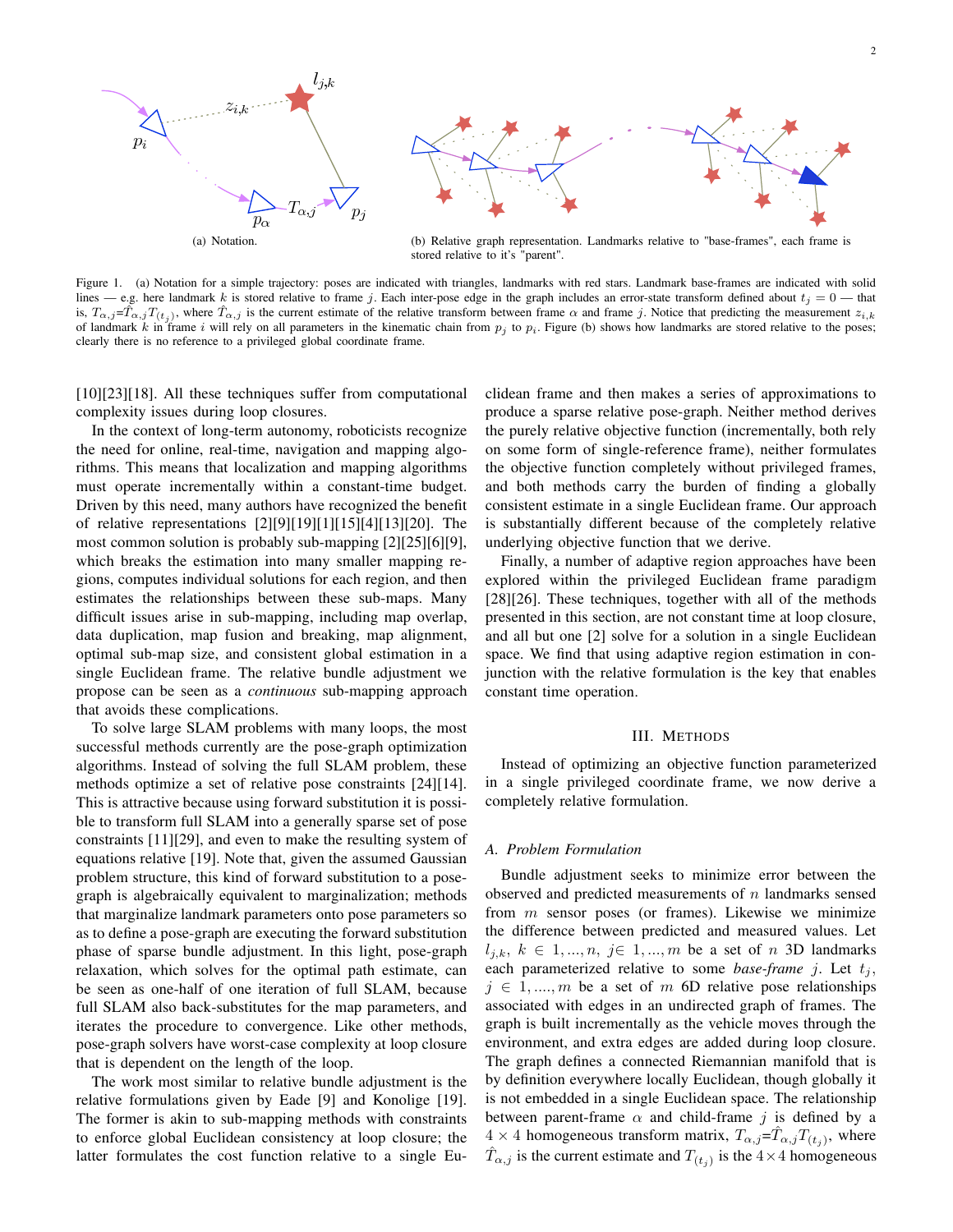

Figure 1. (a) Notation for a simple trajectory: poses are indicated with triangles, landmarks with red stars. Landmark base-frames are indicated with solid lines — e.g. here landmark k is stored relative to frame j. Each inter-pose edge in the graph includes an error-state transform defined about  $t_j = 0$  — that is,  $T_{\alpha,j} = \hat{T}_{\alpha,j} T_{(t_j)}$ , where  $\hat{T}_{\alpha,j}$  is the current estimate of the relative transform between frame  $\alpha$  and frame j. Notice that predicting the measurement  $z_{i,k}$ of landmark k in frame i will rely on all parameters in the kinematic chain from  $p_i$  to  $p_i$ . Figure (b) shows how landmarks are stored relative to the poses; clearly there is no reference to a privileged global coordinate frame.

[10][23][18]. All these techniques suffer from computational complexity issues during loop closures.

In the context of long-term autonomy, roboticists recognize the need for online, real-time, navigation and mapping algorithms. This means that localization and mapping algorithms must operate incrementally within a constant-time budget. Driven by this need, many authors have recognized the benefit of relative representations [2][9][19][1][15][4][13][20]. The most common solution is probably sub-mapping [2][25][6][9], which breaks the estimation into many smaller mapping regions, computes individual solutions for each region, and then estimates the relationships between these sub-maps. Many difficult issues arise in sub-mapping, including map overlap, data duplication, map fusion and breaking, map alignment, optimal sub-map size, and consistent global estimation in a single Euclidean frame. The relative bundle adjustment we propose can be seen as a *continuous* sub-mapping approach that avoids these complications.

To solve large SLAM problems with many loops, the most successful methods currently are the pose-graph optimization algorithms. Instead of solving the full SLAM problem, these methods optimize a set of relative pose constraints [24][14]. This is attractive because using forward substitution it is possible to transform full SLAM into a generally sparse set of pose constraints [11][29], and even to make the resulting system of equations relative [19]. Note that, given the assumed Gaussian problem structure, this kind of forward substitution to a posegraph is algebraically equivalent to marginalization; methods that marginalize landmark parameters onto pose parameters so as to define a pose-graph are executing the forward substitution phase of sparse bundle adjustment. In this light, pose-graph relaxation, which solves for the optimal path estimate, can be seen as one-half of one iteration of full SLAM, because full SLAM also back-substitutes for the map parameters, and iterates the procedure to convergence. Like other methods, pose-graph solvers have worst-case complexity at loop closure that is dependent on the length of the loop.

The work most similar to relative bundle adjustment is the relative formulations given by Eade [9] and Konolige [19]. The former is akin to sub-mapping methods with constraints to enforce global Euclidean consistency at loop closure; the latter formulates the cost function relative to a single Euclidean frame and then makes a series of approximations to produce a sparse relative pose-graph. Neither method derives the purely relative objective function (incrementally, both rely on some form of single-reference frame), neither formulates the objective function completely without privileged frames, and both methods carry the burden of finding a globally consistent estimate in a single Euclidean frame. Our approach is substantially different because of the completely relative underlying objective function that we derive.

Finally, a number of adaptive region approaches have been explored within the privileged Euclidean frame paradigm [28][26]. These techniques, together with all of the methods presented in this section, are not constant time at loop closure, and all but one [2] solve for a solution in a single Euclidean space. We find that using adaptive region estimation in conjunction with the relative formulation is the key that enables constant time operation.

## III. METHODS

Instead of optimizing an objective function parameterized in a single privileged coordinate frame, we now derive a completely relative formulation.

#### *A. Problem Formulation*

Bundle adjustment seeks to minimize error between the observed and predicted measurements of  $n$  landmarks sensed from  $m$  sensor poses (or frames). Likewise we minimize the difference between predicted and measured values. Let  $l_{j,k}, k \in 1, ..., n, j \in 1, ..., m$  be a set of n 3D landmarks each parameterized relative to some *base-frame*  $j$ . Let  $t_j$ ,  $j \in 1, \ldots, m$  be a set of m 6D relative pose relationships associated with edges in an undirected graph of frames. The graph is built incrementally as the vehicle moves through the environment, and extra edges are added during loop closure. The graph defines a connected Riemannian manifold that is by definition everywhere locally Euclidean, though globally it is not embedded in a single Euclidean space. The relationship between parent-frame  $\alpha$  and child-frame j is defined by a  $4 \times 4$  homogeneous transform matrix,  $T_{\alpha,j} = \hat{T}_{\alpha,j} T_{(t_j)}$ , where  $\hat{T}_{\alpha,j}$  is the current estimate and  $T_{(t_j)}$  is the  $4 \times 4$  homogeneous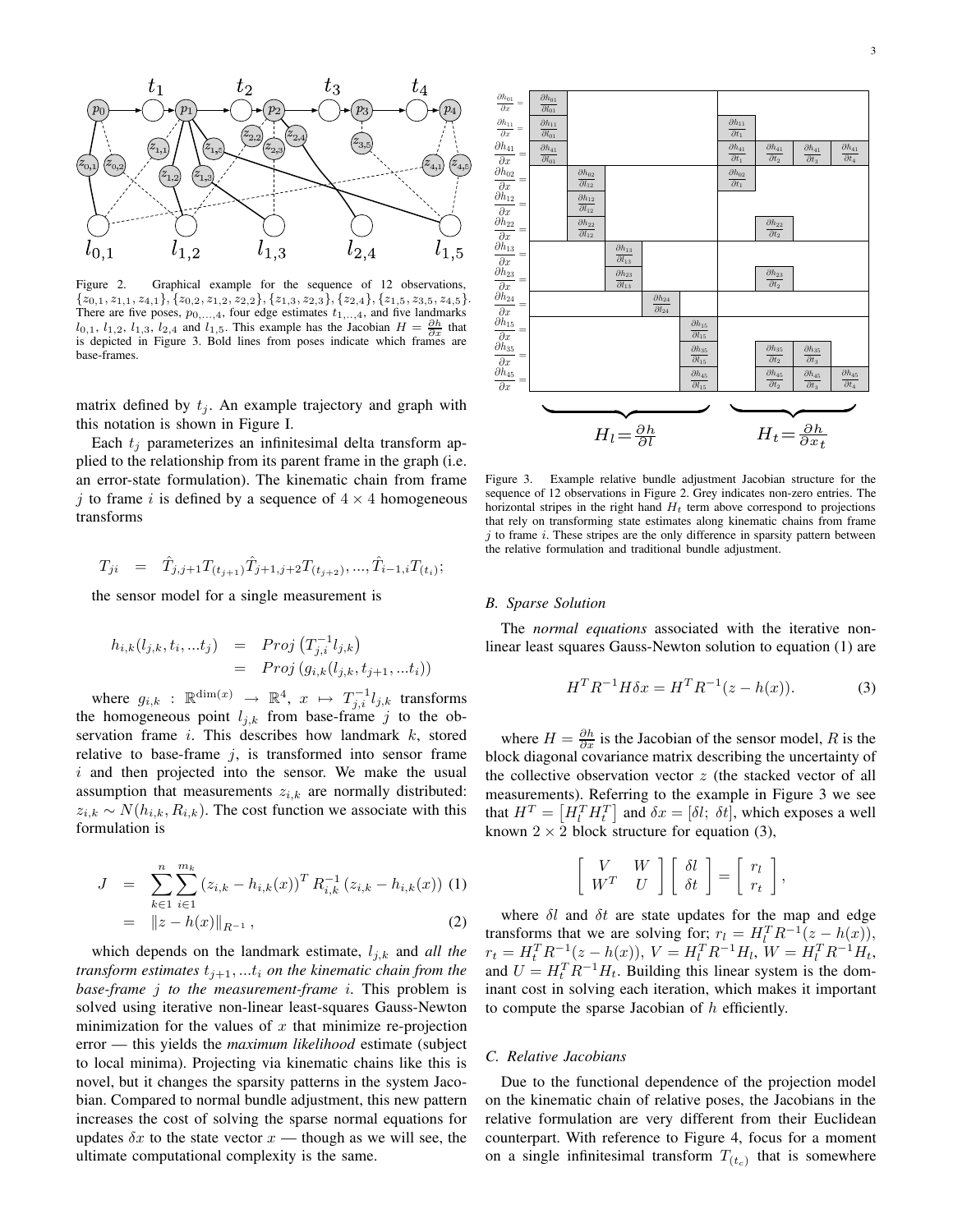

Figure 2. Graphical example for the sequence of 12 observations,  $\{z_{0,1}, z_{1,1}, z_{4,1}\}, \{z_{0,2}, z_{1,2}, z_{2,2}\}, \{z_{1,3}, z_{2,3}\}, \{z_{2,4}\}, \{z_{1,5}, z_{3,5}, z_{4,5}\}.$ There are five poses,  $p_{0, \ldots, 4}$ , four edge estimates  $t_{1, \ldots, 4}$ , and five landmarks  $l_{0,1}$ ,  $l_{1,2}$ ,  $l_{1,3}$ ,  $l_{2,4}$  and  $l_{1,5}$ . This example has the Jacobian  $H = \frac{\partial h}{\partial x}$  that is depicted in Figure 3. Bold lines from poses indicate which frames are base-frames.

matrix defined by  $t_j$ . An example trajectory and graph with this notation is shown in Figure I.

Each  $t_i$  parameterizes an infinitesimal delta transform applied to the relationship from its parent frame in the graph (i.e. an error-state formulation). The kinematic chain from frame j to frame i is defined by a sequence of  $4 \times 4$  homogeneous transforms

$$
T_{ji} \quad = \quad \hat{T}_{j,j+1} T_{(t_{j+1})} \hat{T}_{j+1,j+2} T_{(t_{j+2})}, ..., \hat{T}_{i-1,i} T_{(t_i)};
$$

the sensor model for a single measurement is

$$
h_{i,k}(l_{j,k}, t_i, ...t_j) = Proj(T_{j,i}^{-1}l_{j,k})
$$
  
=  $Proj (g_{i,k}(l_{j,k}, t_{j+1}, ...t_i))$ 

where  $g_{i,k}$  :  $\mathbb{R}^{\dim(x)} \to \mathbb{R}^4$ ,  $x \mapsto T_{j,i}^{-1} l_{j,k}$  transforms the homogeneous point  $l_{j,k}$  from base-frame j to the observation frame  $i$ . This describes how landmark  $k$ , stored relative to base-frame  $j$ , is transformed into sensor frame  $i$  and then projected into the sensor. We make the usual assumption that measurements  $z_{i,k}$  are normally distributed:  $z_{i,k} \sim N(h_{i,k}, R_{i,k})$ . The cost function we associate with this formulation is

$$
J = \sum_{k \in 1}^{n} \sum_{i \in 1}^{m_k} (z_{i,k} - h_{i,k}(x))^T R_{i,k}^{-1} (z_{i,k} - h_{i,k}(x)) \tag{1}
$$

$$
= ||z - h(x)||_{R^{-1}}, \tag{2}
$$

which depends on the landmark estimate,  $l_{j,k}$  and *all the transform estimates*  $t_{j+1},...t_i$  *on the kinematic chain from the base-frame* j *to the measurement-frame* i*.* This problem is solved using iterative non-linear least-squares Gauss-Newton minimization for the values of  $x$  that minimize re-projection error — this yields the *maximum likelihood* estimate (subject to local minima). Projecting via kinematic chains like this is novel, but it changes the sparsity patterns in the system Jacobian. Compared to normal bundle adjustment, this new pattern increases the cost of solving the sparse normal equations for updates  $\delta x$  to the state vector  $x$  — though as we will see, the ultimate computational complexity is the same.



Figure 3. Example relative bundle adjustment Jacobian structure for the sequence of 12 observations in Figure 2. Grey indicates non-zero entries. The horizontal stripes in the right hand  $H_t$  term above correspond to projections that rely on transforming state estimates along kinematic chains from frame  $j$  to frame  $i$ . These stripes are the only difference in sparsity pattern between the relative formulation and traditional bundle adjustment.

#### *B. Sparse Solution*

The *normal equations* associated with the iterative nonlinear least squares Gauss-Newton solution to equation (1) are

$$
H^{T}R^{-1}H\delta x = H^{T}R^{-1}(z - h(x)).
$$
 (3)

where  $H = \frac{\partial h}{\partial x}$  is the Jacobian of the sensor model, R is the block diagonal covariance matrix describing the uncertainty of the collective observation vector  $z$  (the stacked vector of all measurements). Referring to the example in Figure 3 we see that  $H^T = \left[H_l^T H_t^T\right]$  and  $\delta x = [\delta l; \delta t]$ , which exposes a well known  $2 \times 2$  block structure for equation (3),

$$
\left[\begin{array}{cc} V & W \\ W^T & U \end{array}\right] \left[\begin{array}{c} \delta l \\ \delta t \end{array}\right] = \left[\begin{array}{c} r_l \\ r_t \end{array}\right],
$$

where  $\delta l$  and  $\delta t$  are state updates for the map and edge transforms that we are solving for;  $r_l = H_l^T R^{-1}(z - h(x))$ ,  $r_t = H_t^T R^{-1}(z - h(x)), V = H_t^T R^{-1} H_t, W = H_t^T R^{-1} H_t,$ and  $U = H_t^T R^{-1} H_t$ . Building this linear system is the dominant cost in solving each iteration, which makes it important to compute the sparse Jacobian of  $h$  efficiently.

## *C. Relative Jacobians*

Due to the functional dependence of the projection model on the kinematic chain of relative poses, the Jacobians in the relative formulation are very different from their Euclidean counterpart. With reference to Figure 4, focus for a moment on a single infinitesimal transform  $T_{(t_c)}$  that is somewhere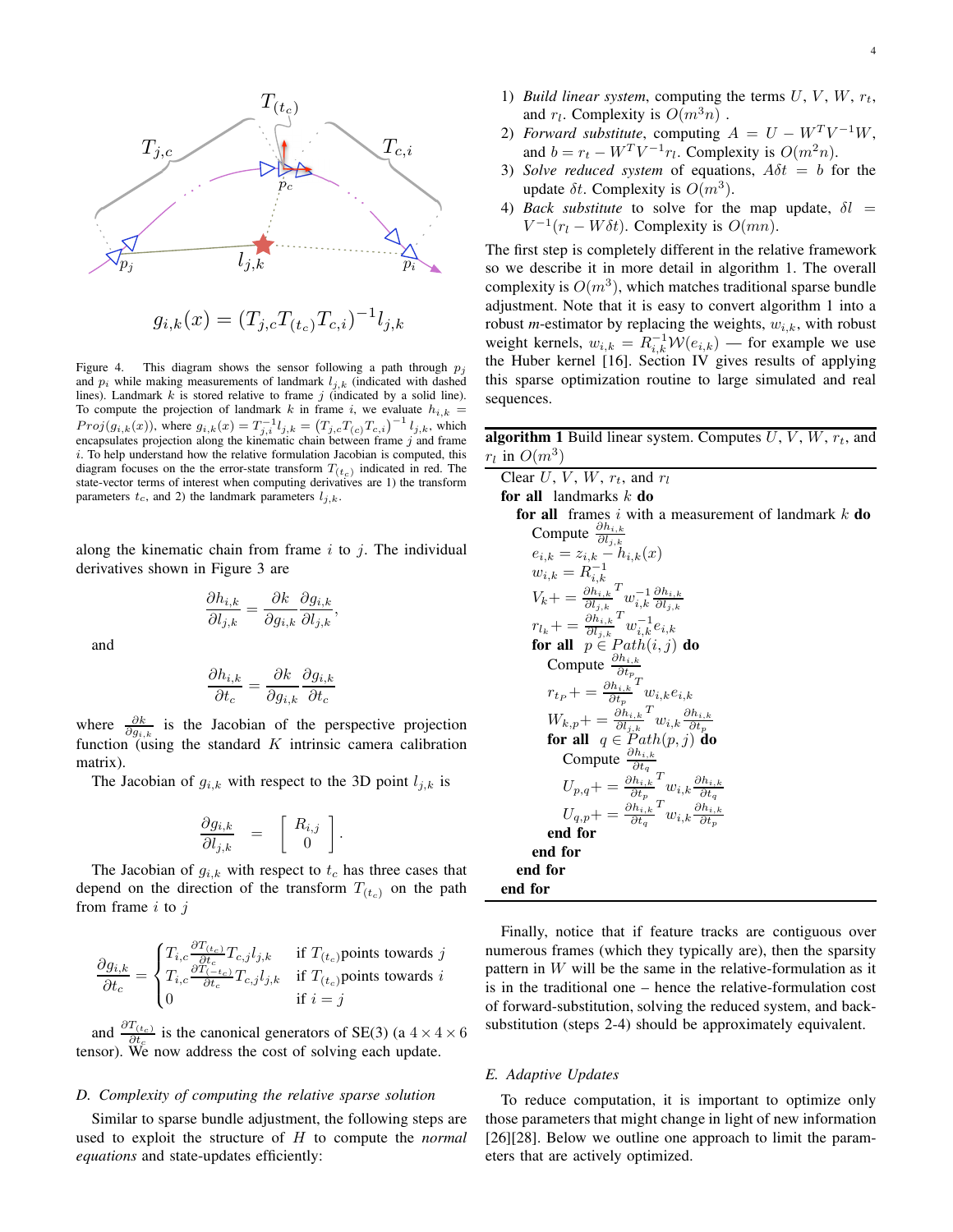

$$
g_{i,k}(x) = (T_{j,c}T_{(t_c)}T_{c,i})^{-1}l_{j,k}
$$

Figure 4. This diagram shows the sensor following a path through  $p_j$ and  $p_i$  while making measurements of landmark  $l_{i,k}$  (indicated with dashed lines). Landmark  $k$  is stored relative to frame  $j$  (indicated by a solid line). To compute the projection of landmark k in frame i, we evaluate  $h_{i,k}$  =  $Proj(g_{i,k}(x))$ , where  $g_{i,k}(x) = T_{j,i}^{-1}l_{j,k} = (T_{j,c}T_{(c)}T_{c,i})^{-1}l_{j,k}$ , which encapsulates projection along the kinematic chain between frame  $j$  and frame  $i$ . To help understand how the relative formulation Jacobian is computed, this diagram focuses on the the error-state transform  $T(t_c)$  indicated in red. The state-vector terms of interest when computing derivatives are 1) the transform parameters  $t_c$ , and 2) the landmark parameters  $l_{i,k}$ .

along the kinematic chain from frame  $i$  to  $j$ . The individual derivatives shown in Figure 3 are

$$
\frac{\partial h_{i,k}}{\partial l_{j,k}} = \frac{\partial k}{\partial g_{i,k}} \frac{\partial g_{i,k}}{\partial l_{j,k}}
$$

,

and

$$
\frac{\partial h_{i,k}}{\partial t_c} = \frac{\partial k}{\partial g_{i,k}} \frac{\partial g_{i,k}}{\partial t_c}
$$

where  $\frac{\partial k}{\partial g_{i,k}}$  is the Jacobian of the perspective projection function (using the standard  $K$  intrinsic camera calibration matrix).

The Jacobian of  $g_{i,k}$  with respect to the 3D point  $l_{j,k}$  is

$$
\frac{\partial g_{i,k}}{\partial l_{j,k}} = \begin{bmatrix} R_{i,j} \\ 0 \end{bmatrix}.
$$

The Jacobian of  $g_{i,k}$  with respect to  $t_c$  has three cases that depend on the direction of the transform  $T_{(t_c)}$  on the path from frame  $i$  to  $j$ 

$$
\frac{\partial g_{i,k}}{\partial t_c} = \begin{cases} T_{i,c} \frac{\partial T_{(t_c)}}{\partial t_c} T_{c,j} l_{j,k} & \text{if } T_{(t_c)} \text{points towards } j \\ T_{i,c} \frac{\partial T_{(-t_c)}}{\partial t_c} T_{c,j} l_{j,k} & \text{if } T_{(t_c)} \text{points towards } i \\ 0 & \text{if } i = j \end{cases}
$$

and  $\frac{\partial T_{(t_c)}}{\partial t_c}$  is the canonical generators of SE(3) (a  $4 \times 4 \times 6$ tensor). We now address the cost of solving each update.

## *D. Complexity of computing the relative sparse solution*

Similar to sparse bundle adjustment, the following steps are used to exploit the structure of H to compute the *normal equations* and state-updates efficiently:

- 1) *Build linear system*, computing the terms  $U, V, W, r_t$ , and  $r_l$ . Complexity is  $O(m^3n)$ .
- 2) *Forward substitute*, computing  $A = U W^T V^{-1} W$ , and  $b = r_t - W^T V^{-1} r_t$ . Complexity is  $O(m^2 n)$ .
- 3) *Solve reduced system* of equations,  $A\delta t = b$  for the update  $\delta t$ . Complexity is  $O(m^3)$ .
- 4) *Back substitute* to solve for the map update,  $\delta l =$  $V^{-1}(r_l - W\delta t)$ . Complexity is  $O(mn)$ .

The first step is completely different in the relative framework so we describe it in more detail in algorithm 1. The overall complexity is  $O(m^3)$ , which matches traditional sparse bundle adjustment. Note that it is easy to convert algorithm 1 into a robust *m*-estimator by replacing the weights,  $w_{i,k}$ , with robust weight kernels,  $w_{i,k} = R_{i,k}^{-1} W(e_{i,k})$  — for example we use the Huber kernel [16]. Section IV gives results of applying this sparse optimization routine to large simulated and real sequences.

**algorithm 1** Build linear system. Computes  $U, V, W, r_t$ , and  $r_l$  in  $O(m^3)$ 

Clear  $U, V, W, r_t$ , and  $r_l$ **for all** landmarks k **do for all** frames i with a measurement of landmark k **do** Compute  $\frac{\partial h_{i,k}}{\partial l_{j,k}}$  $e_{i,k} = z_{i,k} - h_{i,k}(x)$  $w_{i,k} = R_{i,k}^{-1}$  $V_k + \frac{\partial h_{i,k}}{\partial l_{j,k}}$  ${}^{T}w_{i,k}^{-1}\frac{\partial h_{i,k}}{\partial l_{i,k}}$  $\partial l_{j,k}$  $r_{l_k}$  + =  $\frac{\partial h_{i,k}}{\partial l_{j,k}}$  ${}^{T}w_{i,k}^{-1}e_{i,k}$ **for all**  $p \in Path(i, j)$  **do** Compute  $\frac{\partial h_{i,k}}{\partial t_p}$  $r_{t_P} + \frac{\partial h_{i,k}}{\partial t_p}$  ${}^{T}w_{i,k}e_{i,k}$  $W_{k,p}+ = \frac{\partial h_{i,k}}{\partial l_{j,k}}$  ${}^{T}w_{i,k}\frac{\partial h_{i,k}}{\partial t_{k}}$  $\begin{array}{cc} \n\mathbf{w}_{k,p+1} & = & \partial l_{j,k} & \mathbf{w}_{k,p} \\ \n\text{for all} & q \in Path(p,j) \text{ do} \n\end{array}$ Compute  $\frac{\partial h_{i,k}}{\partial t_q}$  $U_{p,q}+ = \frac{\partial h_{i,k}}{\partial t_p}$  ${}^{T}w_{i,k}\frac{\partial h_{i,k}}{\partial t_{k}}$  $\partial t_q$  $U_{q,p}+ = \frac{\partial h_{i,k}}{\partial t_q}$  ${}^{T}w_{i,k}\frac{\partial h_{i,k}}{\partial t_{k}}$  $\frac{d^2q}{dx^2}$ ,  $\frac{d^2q}{dx^2}$   $\frac{d^2q}{dx^2}$   $\frac{d^2q}{dx^2}$  **end for end for end for end for**

Finally, notice that if feature tracks are contiguous over numerous frames (which they typically are), then the sparsity pattern in W will be the same in the relative-formulation as it is in the traditional one – hence the relative-formulation cost of forward-substitution, solving the reduced system, and backsubstitution (steps 2-4) should be approximately equivalent.

#### *E. Adaptive Updates*

To reduce computation, it is important to optimize only those parameters that might change in light of new information [26][28]. Below we outline one approach to limit the parameters that are actively optimized.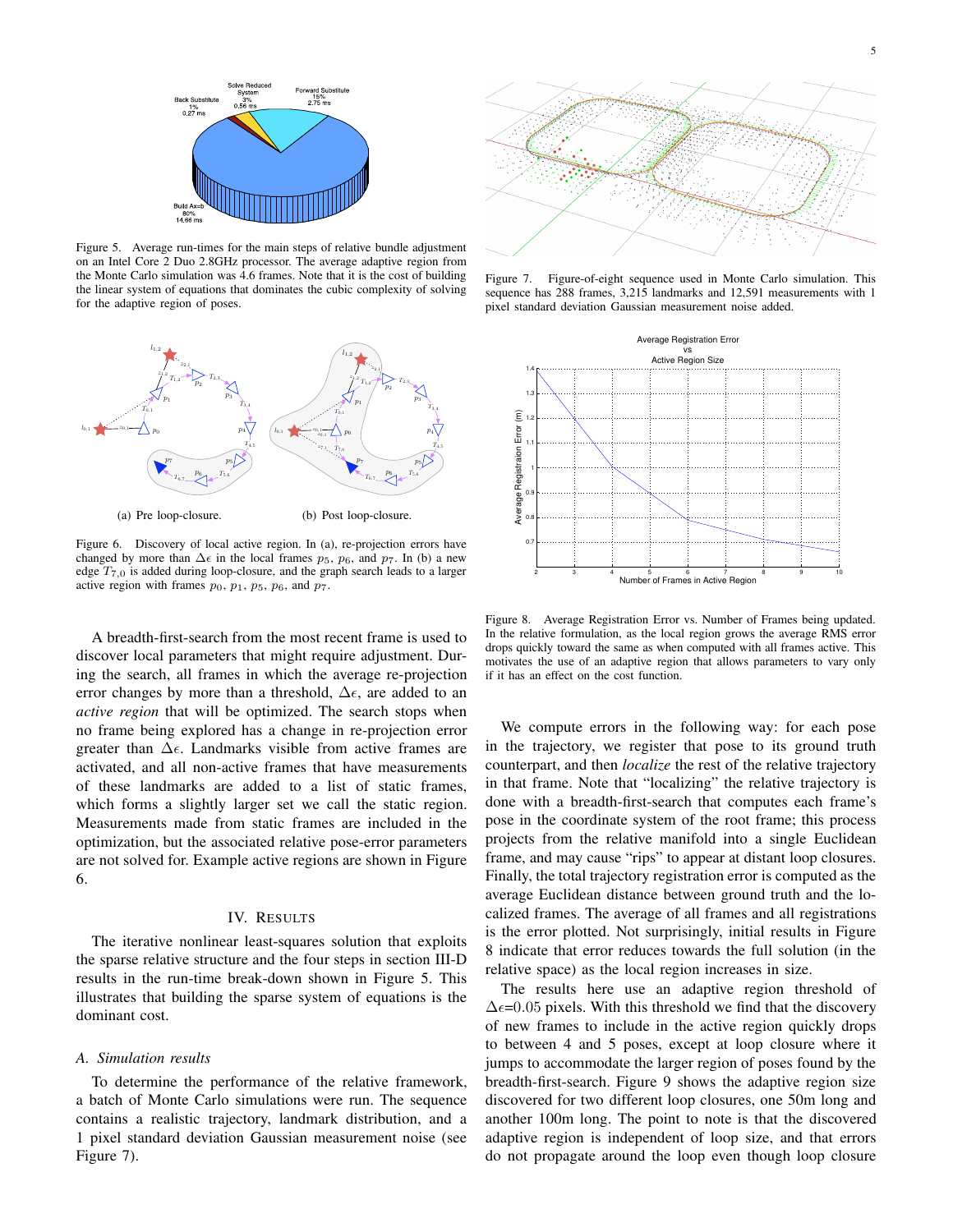

Figure 5. Average run-times for the main steps of relative bundle adjustment on an Intel Core 2 Duo 2.8GHz processor. The average adaptive region from the Monte Carlo simulation was 4.6 frames. Note that it is the cost of building the linear system of equations that dominates the cubic complexity of solving for the adaptive region of poses.



Figure 6. Discovery of local active region. In (a), re-projection errors have changed by more than  $\Delta \epsilon$  in the local frames  $p_5$ ,  $p_6$ , and  $p_7$ . In (b) a new edge  $T_{7,0}$  is added during loop-closure, and the graph search leads to a larger active region with frames  $p_0$ ,  $p_1$ ,  $p_5$ ,  $p_6$ , and  $p_7$ .

A breadth-first-search from the most recent frame is used to discover local parameters that might require adjustment. During the search, all frames in which the average re-projection error changes by more than a threshold,  $\Delta \epsilon$ , are added to an *active region* that will be optimized. The search stops when no frame being explored has a change in re-projection error greater than  $\Delta \epsilon$ . Landmarks visible from active frames are activated, and all non-active frames that have measurements of these landmarks are added to a list of static frames, which forms a slightly larger set we call the static region. Measurements made from static frames are included in the optimization, but the associated relative pose-error parameters are not solved for. Example active regions are shown in Figure 6.

## IV. RESULTS

The iterative nonlinear least-squares solution that exploits the sparse relative structure and the four steps in section III-D results in the run-time break-down shown in Figure 5. This illustrates that building the sparse system of equations is the dominant cost.

## *A. Simulation results*

To determine the performance of the relative framework, a batch of Monte Carlo simulations were run. The sequence contains a realistic trajectory, landmark distribution, and a 1 pixel standard deviation Gaussian measurement noise (see Figure 7).



Figure 7. Figure-of-eight sequence used in Monte Carlo simulation. This sequence has 288 frames, 3,215 landmarks and 12,591 measurements with 1 pixel standard deviation Gaussian measurement noise added.



Figure 8. Average Registration Error vs. Number of Frames being updated. In the relative formulation, as the local region grows the average RMS error drops quickly toward the same as when computed with all frames active. This motivates the use of an adaptive region that allows parameters to vary only if it has an effect on the cost function.

We compute errors in the following way: for each pose in the trajectory, we register that pose to its ground truth counterpart, and then *localize* the rest of the relative trajectory in that frame. Note that "localizing" the relative trajectory is done with a breadth-first-search that computes each frame's pose in the coordinate system of the root frame; this process projects from the relative manifold into a single Euclidean frame, and may cause "rips" to appear at distant loop closures. Finally, the total trajectory registration error is computed as the average Euclidean distance between ground truth and the localized frames. The average of all frames and all registrations is the error plotted. Not surprisingly, initial results in Figure 8 indicate that error reduces towards the full solution (in the relative space) as the local region increases in size.

The results here use an adaptive region threshold of  $\Delta \epsilon$ =0.05 pixels. With this threshold we find that the discovery of new frames to include in the active region quickly drops to between 4 and 5 poses, except at loop closure where it jumps to accommodate the larger region of poses found by the breadth-first-search. Figure 9 shows the adaptive region size discovered for two different loop closures, one 50m long and another 100m long. The point to note is that the discovered adaptive region is independent of loop size, and that errors do not propagate around the loop even though loop closure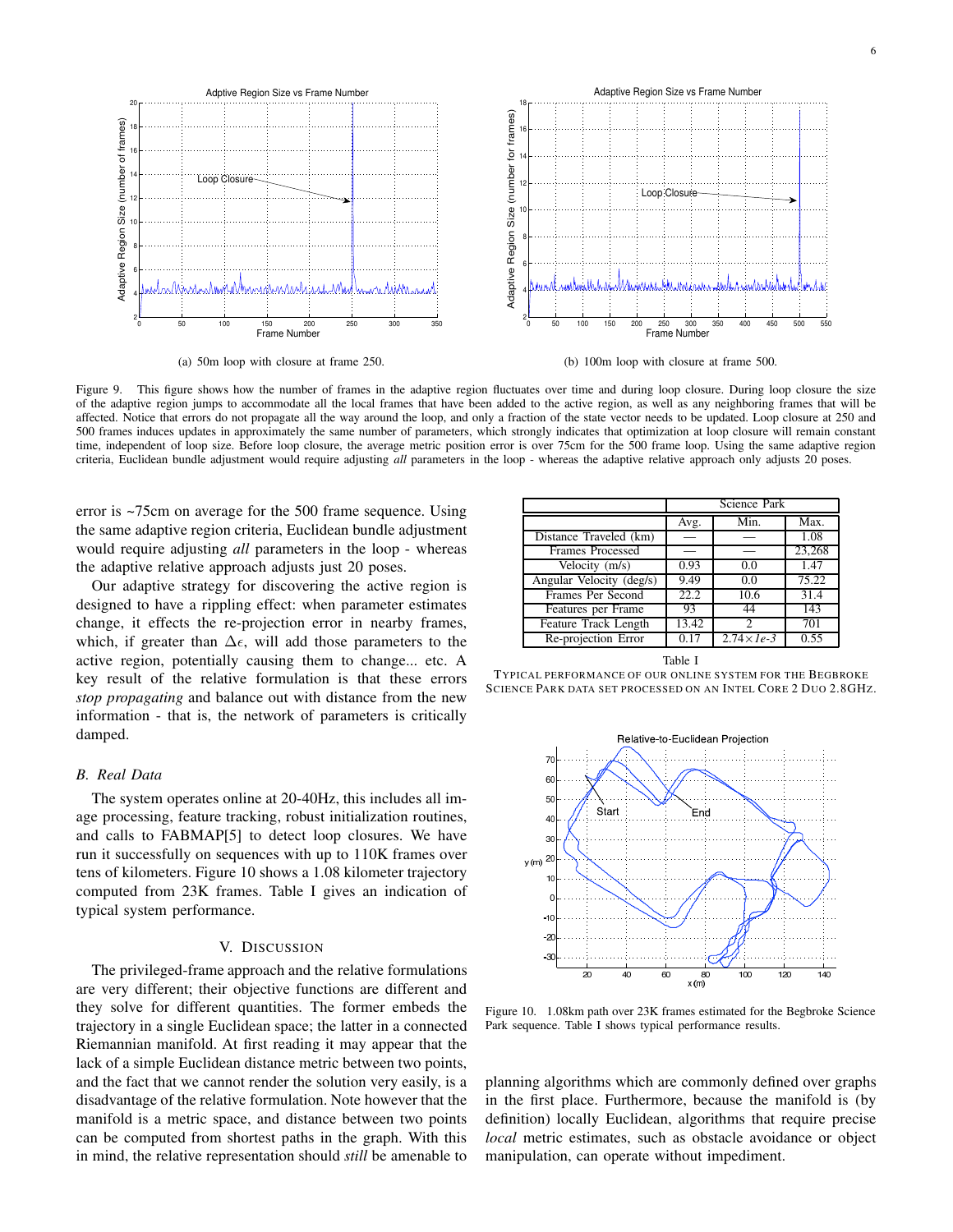

(a) 50m loop with closure at frame 250.

(b) 100m loop with closure at frame 500.

Figure 9. This figure shows how the number of frames in the adaptive region fluctuates over time and during loop closure. During loop closure the size of the adaptive region jumps to accommodate all the local frames that have been added to the active region, as well as any neighboring frames that will be affected. Notice that errors do not propagate all the way around the loop, and only a fraction of the state vector needs to be updated. Loop closure at 250 and 500 frames induces updates in approximately the same number of parameters, which strongly indicates that optimization at loop closure will remain constant time, independent of loop size. Before loop closure, the average metric position error is over 75cm for the 500 frame loop. Using the same adaptive region criteria, Euclidean bundle adjustment would require adjusting *all* parameters in the loop - whereas the adaptive relative approach only adjusts 20 poses.

error is ~75cm on average for the 500 frame sequence. Using the same adaptive region criteria, Euclidean bundle adjustment would require adjusting *all* parameters in the loop - whereas the adaptive relative approach adjusts just 20 poses.

Our adaptive strategy for discovering the active region is designed to have a rippling effect: when parameter estimates change, it effects the re-projection error in nearby frames, which, if greater than  $\Delta \epsilon$ , will add those parameters to the active region, potentially causing them to change... etc. A key result of the relative formulation is that these errors *stop propagating* and balance out with distance from the new information - that is, the network of parameters is critically damped.

#### *B. Real Data*

The system operates online at 20-40Hz, this includes all image processing, feature tracking, robust initialization routines, and calls to FABMAP[5] to detect loop closures. We have run it successfully on sequences with up to 110K frames over tens of kilometers. Figure 10 shows a 1.08 kilometer trajectory computed from 23K frames. Table I gives an indication of typical system performance.

## V. DISCUSSION

The privileged-frame approach and the relative formulations are very different; their objective functions are different and they solve for different quantities. The former embeds the trajectory in a single Euclidean space; the latter in a connected Riemannian manifold. At first reading it may appear that the lack of a simple Euclidean distance metric between two points, and the fact that we cannot render the solution very easily, is a disadvantage of the relative formulation. Note however that the manifold is a metric space, and distance between two points can be computed from shortest paths in the graph. With this in mind, the relative representation should *still* be amenable to

|                          | Science Park |                       |        |
|--------------------------|--------------|-----------------------|--------|
|                          | Avg.         | Min.                  | Max.   |
| Distance Traveled (km)   |              |                       | 1.08   |
| <b>Frames Processed</b>  |              |                       | 23,268 |
| Velocity (m/s)           | 0.93         | 0.0                   | 1.47   |
| Angular Velocity (deg/s) | 9.49         | 0.0                   | 75.22  |
| Frames Per Second        | 22.2         | 10.6                  | 31.4   |
| Features per Frame       | 93           | 44                    | 143    |
| Feature Track Length     | 13.42        | $\mathfrak{D}$        | 701    |
| Re-projection Error      | 0.17         | $2.74 \times 1e^{-3}$ | 0.55   |

Table I





Figure 10. 1.08km path over 23K frames estimated for the Begbroke Science Park sequence. Table I shows typical performance results.

planning algorithms which are commonly defined over graphs in the first place. Furthermore, because the manifold is (by definition) locally Euclidean, algorithms that require precise *local* metric estimates, such as obstacle avoidance or object manipulation, can operate without impediment.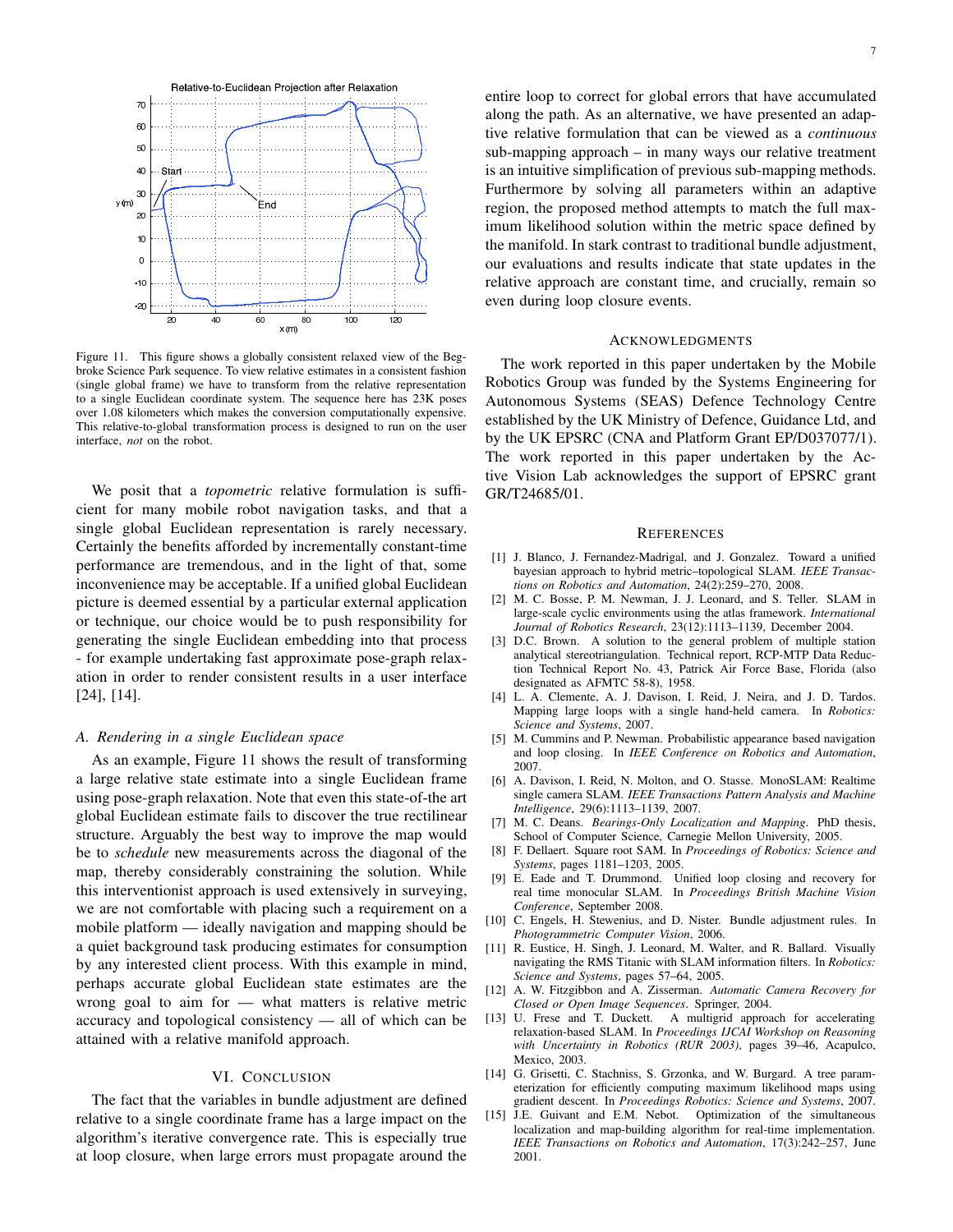

Figure 11. This figure shows a globally consistent relaxed view of the Begbroke Science Park sequence. To view relative estimates in a consistent fashion (single global frame) we have to transform from the relative representation to a single Euclidean coordinate system. The sequence here has 23K poses over 1.08 kilometers which makes the conversion computationally expensive. This relative-to-global transformation process is designed to run on the user interface, *not* on the robot.

We posit that a *topometric* relative formulation is sufficient for many mobile robot navigation tasks, and that a single global Euclidean representation is rarely necessary. Certainly the benefits afforded by incrementally constant-time performance are tremendous, and in the light of that, some inconvenience may be acceptable. If a unified global Euclidean picture is deemed essential by a particular external application or technique, our choice would be to push responsibility for generating the single Euclidean embedding into that process - for example undertaking fast approximate pose-graph relaxation in order to render consistent results in a user interface [24], [14].

#### *A. Rendering in a single Euclidean space*

As an example, Figure 11 shows the result of transforming a large relative state estimate into a single Euclidean frame using pose-graph relaxation. Note that even this state-of-the art global Euclidean estimate fails to discover the true rectilinear structure. Arguably the best way to improve the map would be to *schedule* new measurements across the diagonal of the map, thereby considerably constraining the solution. While this interventionist approach is used extensively in surveying, we are not comfortable with placing such a requirement on a mobile platform — ideally navigation and mapping should be a quiet background task producing estimates for consumption by any interested client process. With this example in mind, perhaps accurate global Euclidean state estimates are the wrong goal to aim for — what matters is relative metric accuracy and topological consistency — all of which can be attained with a relative manifold approach.

## VI. CONCLUSION

The fact that the variables in bundle adjustment are defined relative to a single coordinate frame has a large impact on the algorithm's iterative convergence rate. This is especially true at loop closure, when large errors must propagate around the entire loop to correct for global errors that have accumulated along the path. As an alternative, we have presented an adaptive relative formulation that can be viewed as a *continuous* sub-mapping approach – in many ways our relative treatment is an intuitive simplification of previous sub-mapping methods. Furthermore by solving all parameters within an adaptive region, the proposed method attempts to match the full maximum likelihood solution within the metric space defined by the manifold. In stark contrast to traditional bundle adjustment, our evaluations and results indicate that state updates in the relative approach are constant time, and crucially, remain so even during loop closure events.

## ACKNOWLEDGMENTS

The work reported in this paper undertaken by the Mobile Robotics Group was funded by the Systems Engineering for Autonomous Systems (SEAS) Defence Technology Centre established by the UK Ministry of Defence, Guidance Ltd, and by the UK EPSRC (CNA and Platform Grant EP/D037077/1). The work reported in this paper undertaken by the Active Vision Lab acknowledges the support of EPSRC grant GR/T24685/01.

#### **REFERENCES**

- [1] J. Blanco, J. Fernandez-Madrigal, and J. Gonzalez. Toward a unified bayesian approach to hybrid metric–topological SLAM. *IEEE Transactions on Robotics and Automation*, 24(2):259–270, 2008.
- [2] M. C. Bosse, P. M. Newman, J. J. Leonard, and S. Teller. SLAM in large-scale cyclic environments using the atlas framework. *International Journal of Robotics Research*, 23(12):1113–1139, December 2004.
- [3] D.C. Brown. A solution to the general problem of multiple station analytical stereotriangulation. Technical report, RCP-MTP Data Reduction Technical Report No. 43, Patrick Air Force Base, Florida (also designated as AFMTC 58-8), 1958.
- [4] L. A. Clemente, A. J. Davison, I. Reid, J. Neira, and J. D. Tardos. Mapping large loops with a single hand-held camera. In *Robotics: Science and Systems*, 2007.
- [5] M. Cummins and P. Newman. Probabilistic appearance based navigation and loop closing. In *IEEE Conference on Robotics and Automation*, 2007.
- [6] A. Davison, I. Reid, N. Molton, and O. Stasse. MonoSLAM: Realtime single camera SLAM. *IEEE Transactions Pattern Analysis and Machine Intelligence*, 29(6):1113–1139, 2007.
- [7] M. C. Deans. *Bearings-Only Localization and Mapping*. PhD thesis, School of Computer Science, Carnegie Mellon University, 2005.
- [8] F. Dellaert. Square root SAM. In *Proceedings of Robotics: Science and Systems*, pages 1181–1203, 2005.
- [9] E. Eade and T. Drummond. Unified loop closing and recovery for real time monocular SLAM. In *Proceedings British Machine Vision Conference*, September 2008.
- [10] C. Engels, H. Stewenius, and D. Nister. Bundle adjustment rules. In *Photogrammetric Computer Vision*, 2006.
- [11] R. Eustice, H. Singh, J. Leonard, M. Walter, and R. Ballard. Visually navigating the RMS Titanic with SLAM information filters. In *Robotics: Science and Systems*, pages 57–64, 2005.
- [12] A. W. Fitzgibbon and A. Zisserman. *Automatic Camera Recovery for Closed or Open Image Sequences*. Springer, 2004.
- [13] U. Frese and T. Duckett. A multigrid approach for accelerating relaxation-based SLAM. In *Proceedings IJCAI Workshop on Reasoning with Uncertainty in Robotics (RUR 2003)*, pages 39–46, Acapulco, Mexico, 2003.
- [14] G. Grisetti, C. Stachniss, S. Grzonka, and W. Burgard. A tree parameterization for efficiently computing maximum likelihood maps using gradient descent. In *Proceedings Robotics: Science and Systems*, 2007.
- [15] J.E. Guivant and E.M. Nebot. Optimization of the simultaneous localization and map-building algorithm for real-time implementation. *IEEE Transactions on Robotics and Automation*, 17(3):242–257, June 2001.